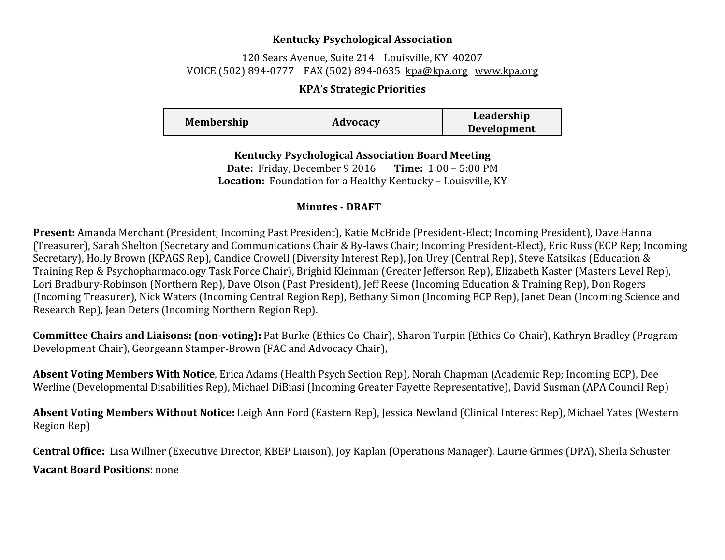## **Kentucky Psychological Association**

## 120 Sears Avenue, Suite 214 Louisville, KY 40207 VOICE (502) 894-0777 FAX (502) 894-0635 [kpa@kpa.org](mailto:kpa@kih.net) [www.kpa.org](http://www.kpa.org/)

## **KPA's Strategic Priorities**

| <b>Membership</b> | Leadership         |
|-------------------|--------------------|
| Advocacy          | <b>Development</b> |

**Kentucky Psychological Association Board Meeting Date:** Friday, December 9 2016 **Time:** 1:00 – 5:00 PM **Location:** Foundation for a Healthy Kentucky – Louisville, KY

## **Minutes - DRAFT**

**Present:** Amanda Merchant (President; Incoming Past President), Katie McBride (President-Elect; Incoming President), Dave Hanna (Treasurer), Sarah Shelton (Secretary and Communications Chair & By-laws Chair; Incoming President-Elect), Eric Russ (ECP Rep; Incoming Secretary), Holly Brown (KPAGS Rep), Candice Crowell (Diversity Interest Rep), Jon Urey (Central Rep), Steve Katsikas (Education & Training Rep & Psychopharmacology Task Force Chair), Brighid Kleinman (Greater Jefferson Rep), Elizabeth Kaster (Masters Level Rep), Lori Bradbury-Robinson (Northern Rep), Dave Olson (Past President), Jeff Reese (Incoming Education & Training Rep), Don Rogers (Incoming Treasurer), Nick Waters (Incoming Central Region Rep), Bethany Simon (Incoming ECP Rep), Janet Dean (Incoming Science and Research Rep), Jean Deters (Incoming Northern Region Rep).

**Committee Chairs and Liaisons: (non-voting):** Pat Burke (Ethics Co-Chair), Sharon Turpin (Ethics Co-Chair), Kathryn Bradley (Program Development Chair), Georgeann Stamper-Brown (FAC and Advocacy Chair),

**Absent Voting Members With Notice**, Erica Adams (Health Psych Section Rep), Norah Chapman (Academic Rep; Incoming ECP), Dee Werline (Developmental Disabilities Rep), Michael DiBiasi (Incoming Greater Fayette Representative), David Susman (APA Council Rep)

**Absent Voting Members Without Notice:** Leigh Ann Ford (Eastern Rep), Jessica Newland (Clinical Interest Rep), Michael Yates (Western Region Rep)

**Central Office:** Lisa Willner (Executive Director, KBEP Liaison), Joy Kaplan (Operations Manager), Laurie Grimes (DPA), Sheila Schuster **Vacant Board Positions**: none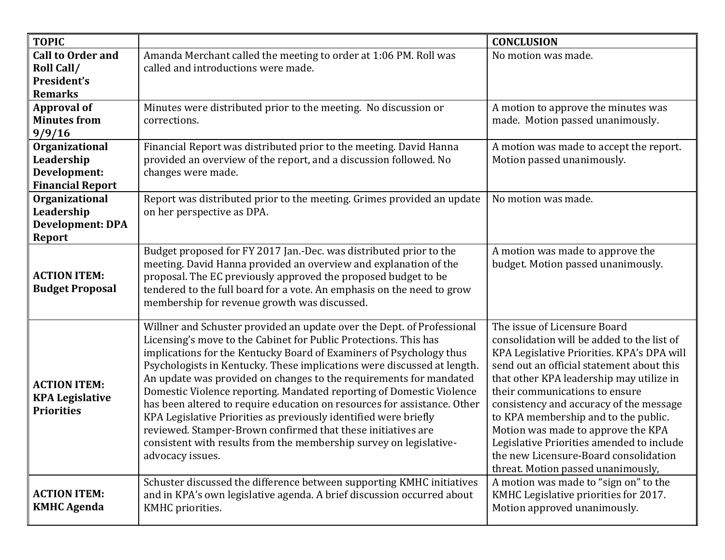| <b>TOPIC</b>                                                             |                                                                                                                                                                                                                                                                                                                                                                                                                                                                                                                                                                                                                                                                                                                                                      | <b>CONCLUSION</b>                                                                                                                                                                                                                                                                                                                                                                                                                                                                                        |
|--------------------------------------------------------------------------|------------------------------------------------------------------------------------------------------------------------------------------------------------------------------------------------------------------------------------------------------------------------------------------------------------------------------------------------------------------------------------------------------------------------------------------------------------------------------------------------------------------------------------------------------------------------------------------------------------------------------------------------------------------------------------------------------------------------------------------------------|----------------------------------------------------------------------------------------------------------------------------------------------------------------------------------------------------------------------------------------------------------------------------------------------------------------------------------------------------------------------------------------------------------------------------------------------------------------------------------------------------------|
| <b>Call to Order and</b><br>Roll Call/<br>President's<br><b>Remarks</b>  | Amanda Merchant called the meeting to order at 1:06 PM. Roll was<br>called and introductions were made.                                                                                                                                                                                                                                                                                                                                                                                                                                                                                                                                                                                                                                              | No motion was made.                                                                                                                                                                                                                                                                                                                                                                                                                                                                                      |
| <b>Approval of</b><br><b>Minutes from</b><br>9/9/16                      | Minutes were distributed prior to the meeting. No discussion or<br>corrections.                                                                                                                                                                                                                                                                                                                                                                                                                                                                                                                                                                                                                                                                      | A motion to approve the minutes was<br>made. Motion passed unanimously.                                                                                                                                                                                                                                                                                                                                                                                                                                  |
| Organizational<br>Leadership<br>Development:<br><b>Financial Report</b>  | Financial Report was distributed prior to the meeting. David Hanna<br>provided an overview of the report, and a discussion followed. No<br>changes were made.                                                                                                                                                                                                                                                                                                                                                                                                                                                                                                                                                                                        | A motion was made to accept the report.<br>Motion passed unanimously.                                                                                                                                                                                                                                                                                                                                                                                                                                    |
| Organizational<br>Leadership<br><b>Development: DPA</b><br><b>Report</b> | Report was distributed prior to the meeting. Grimes provided an update<br>on her perspective as DPA.                                                                                                                                                                                                                                                                                                                                                                                                                                                                                                                                                                                                                                                 | No motion was made.                                                                                                                                                                                                                                                                                                                                                                                                                                                                                      |
| <b>ACTION ITEM:</b><br><b>Budget Proposal</b>                            | Budget proposed for FY 2017 Jan.-Dec. was distributed prior to the<br>meeting. David Hanna provided an overview and explanation of the<br>proposal. The EC previously approved the proposed budget to be<br>tendered to the full board for a vote. An emphasis on the need to grow<br>membership for revenue growth was discussed.                                                                                                                                                                                                                                                                                                                                                                                                                   | A motion was made to approve the<br>budget. Motion passed unanimously.                                                                                                                                                                                                                                                                                                                                                                                                                                   |
| <b>ACTION ITEM:</b><br><b>KPA Legislative</b><br><b>Priorities</b>       | Willner and Schuster provided an update over the Dept. of Professional<br>Licensing's move to the Cabinet for Public Protections. This has<br>implications for the Kentucky Board of Examiners of Psychology thus<br>Psychologists in Kentucky. These implications were discussed at length.<br>An update was provided on changes to the requirements for mandated<br>Domestic Violence reporting. Mandated reporting of Domestic Violence<br>has been altered to require education on resources for assistance. Other<br>KPA Legislative Priorities as previously identified were briefly<br>reviewed. Stamper-Brown confirmed that these initiatives are<br>consistent with results from the membership survey on legislative-<br>advocacy issues. | The issue of Licensure Board<br>consolidation will be added to the list of<br>KPA Legislative Priorities. KPA's DPA will<br>send out an official statement about this<br>that other KPA leadership may utilize in<br>their communications to ensure<br>consistency and accuracy of the message<br>to KPA membership and to the public.<br>Motion was made to approve the KPA<br>Legislative Priorities amended to include<br>the new Licensure-Board consolidation<br>threat. Motion passed unanimously, |
| <b>ACTION ITEM:</b><br><b>KMHC Agenda</b>                                | Schuster discussed the difference between supporting KMHC initiatives<br>and in KPA's own legislative agenda. A brief discussion occurred about<br>KMHC priorities.                                                                                                                                                                                                                                                                                                                                                                                                                                                                                                                                                                                  | A motion was made to "sign on" to the<br>KMHC Legislative priorities for 2017.<br>Motion approved unanimously.                                                                                                                                                                                                                                                                                                                                                                                           |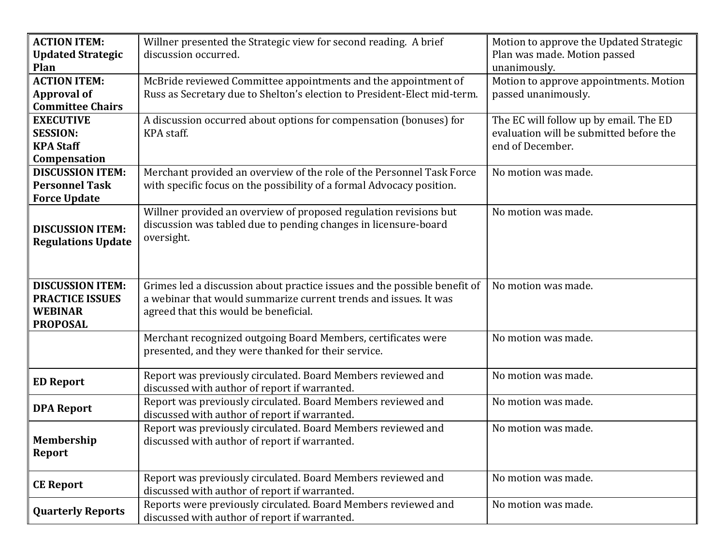| <b>ACTION ITEM:</b>         | Willner presented the Strategic view for second reading. A brief                                                                           | Motion to approve the Updated Strategic                       |
|-----------------------------|--------------------------------------------------------------------------------------------------------------------------------------------|---------------------------------------------------------------|
| <b>Updated Strategic</b>    | discussion occurred.                                                                                                                       | Plan was made. Motion passed                                  |
| Plan<br><b>ACTION ITEM:</b> |                                                                                                                                            | unanimously.                                                  |
| <b>Approval of</b>          | McBride reviewed Committee appointments and the appointment of<br>Russ as Secretary due to Shelton's election to President-Elect mid-term. | Motion to approve appointments. Motion<br>passed unanimously. |
| <b>Committee Chairs</b>     |                                                                                                                                            |                                                               |
| <b>EXECUTIVE</b>            | A discussion occurred about options for compensation (bonuses) for                                                                         | The EC will follow up by email. The ED                        |
| <b>SESSION:</b>             | KPA staff.                                                                                                                                 | evaluation will be submitted before the                       |
| <b>KPA Staff</b>            |                                                                                                                                            | end of December.                                              |
| Compensation                |                                                                                                                                            |                                                               |
| <b>DISCUSSION ITEM:</b>     | Merchant provided an overview of the role of the Personnel Task Force                                                                      | No motion was made.                                           |
| <b>Personnel Task</b>       | with specific focus on the possibility of a formal Advocacy position.                                                                      |                                                               |
| <b>Force Update</b>         |                                                                                                                                            |                                                               |
|                             | Willner provided an overview of proposed regulation revisions but                                                                          | No motion was made.                                           |
| <b>DISCUSSION ITEM:</b>     | discussion was tabled due to pending changes in licensure-board                                                                            |                                                               |
| <b>Regulations Update</b>   | oversight.                                                                                                                                 |                                                               |
|                             |                                                                                                                                            |                                                               |
|                             |                                                                                                                                            |                                                               |
| <b>DISCUSSION ITEM:</b>     | Grimes led a discussion about practice issues and the possible benefit of                                                                  | No motion was made.                                           |
| <b>PRACTICE ISSUES</b>      | a webinar that would summarize current trends and issues. It was                                                                           |                                                               |
| <b>WEBINAR</b>              | agreed that this would be beneficial.                                                                                                      |                                                               |
| <b>PROPOSAL</b>             |                                                                                                                                            |                                                               |
|                             | Merchant recognized outgoing Board Members, certificates were                                                                              | No motion was made.                                           |
|                             | presented, and they were thanked for their service.                                                                                        |                                                               |
|                             | Report was previously circulated. Board Members reviewed and                                                                               | No motion was made.                                           |
| <b>ED Report</b>            | discussed with author of report if warranted.                                                                                              |                                                               |
|                             | Report was previously circulated. Board Members reviewed and                                                                               | No motion was made.                                           |
| <b>DPA Report</b>           | discussed with author of report if warranted.                                                                                              |                                                               |
|                             | Report was previously circulated. Board Members reviewed and                                                                               | No motion was made.                                           |
| <b>Membership</b>           | discussed with author of report if warranted.                                                                                              |                                                               |
| <b>Report</b>               |                                                                                                                                            |                                                               |
|                             | Report was previously circulated. Board Members reviewed and                                                                               | No motion was made.                                           |
| <b>CE Report</b>            | discussed with author of report if warranted.                                                                                              |                                                               |
|                             | Reports were previously circulated. Board Members reviewed and                                                                             | No motion was made.                                           |
| <b>Quarterly Reports</b>    | discussed with author of report if warranted.                                                                                              |                                                               |